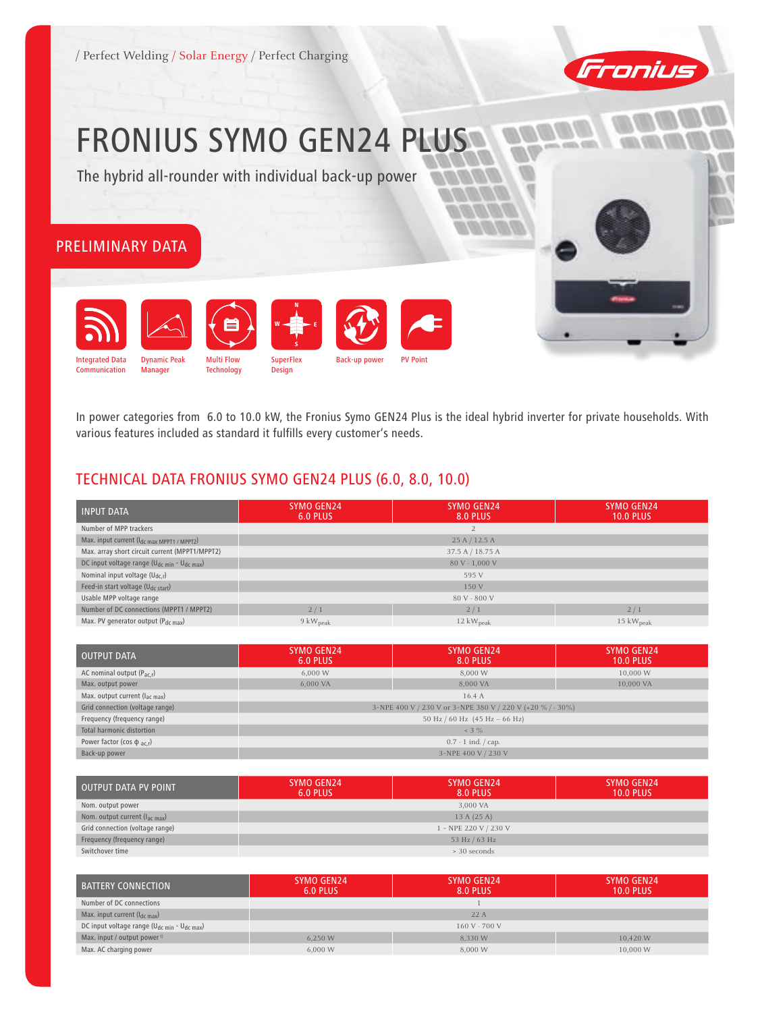



# FRONIUS SYMO GEN24 PLUS

The hybrid all-rounder with individual back-up power

# Preliminary Data



In power categories from 6.0 to 10.0 kW, the Fronius Symo GEN24 Plus is the ideal hybrid inverter for private households. With various features included as standard it fulfills every customer's needs.

# Technical Data FRONIUS SymO GEN24 Plus (6.0, 8.0, 10.0)

| <b>INPUT DATA</b>                                                   | <b>SYMO GEN24</b><br>6.0 PLUS | <b>SYMO GEN24</b><br>8.0 PLUS | SYMO GEN24<br><b>10.0 PLUS</b> |
|---------------------------------------------------------------------|-------------------------------|-------------------------------|--------------------------------|
| Number of MPP trackers                                              |                               |                               |                                |
| Max. input current (Idc max MPPT1 / MPPT2)                          |                               | 25 A / 12.5 A                 |                                |
| Max. array short circuit current (MPPT1/MPPT2)                      |                               | 37.5 A / 18.75 A              |                                |
| DC input voltage range (U <sub>dc min</sub> - U <sub>dc max</sub> ) |                               | 80 V - 1,000 V                |                                |
| Nominal input voltage $(U_{dc,r})$                                  |                               | 595 V                         |                                |
| Feed-in start voltage (U <sub>dc start</sub> )                      | 150 V                         |                               |                                |
| Usable MPP voltage range                                            |                               | 80 V - 800 V                  |                                |
| Number of DC connections (MPPT1 / MPPT2)                            | 2/1                           | 2/1                           | 2/1                            |
| Max. PV generator output $(P_{dc max})$                             | $9 \text{ kW}_{\text{peak}}$  | $12 \text{ kW}_{\text{peak}}$ | $15 \text{ kW}_{\text{peak}}$  |

| OUTPUT DATA                                | <b>SYMO GEN24</b><br>6.0 PLUS                              | SYMO GEN24<br>8.0 PLUS | SYMO GEN24<br><b>10.0 PLUS</b> |
|--------------------------------------------|------------------------------------------------------------|------------------------|--------------------------------|
| AC nominal output $(P_{ac,r})$             | 6,000 W                                                    | 8,000 W                | 10,000 W                       |
| Max. output power                          | 6,000 VA                                                   | 8,000 VA               | 10,000 VA                      |
| Max. output current $(l_{\text{ac max}})$  | 16.4A                                                      |                        |                                |
| Grid connection (voltage range)            | 3-NPE 400 V / 230 V or 3-NPE 380 V / 220 V (+20 % / - 30%) |                        |                                |
| Frequency (frequency range)                | 50 Hz / 60 Hz (45 Hz – 66 Hz)                              |                        |                                |
| Total harmonic distortion                  | $3\%$                                                      |                        |                                |
| Power factor (cos $\phi$ <sub>ac.r</sub> ) | $0.7 - 1$ ind. $\frac{1}{2}$ cap.                          |                        |                                |
| Back-up power                              | 3-NPE 400 V / 230 V                                        |                        |                                |

| OUTPUT DATA PV POINT               | SYMO GEN24<br>6.0 PLUS | <b>SYMO GEN24</b><br><b>8.0 PLUS</b> | SYMO GEN24<br><b>10.0 PLUS</b> |
|------------------------------------|------------------------|--------------------------------------|--------------------------------|
| Nom. output power                  |                        | 3,000 VA                             |                                |
| Nom. output current $(l_{ac max})$ | 13A(25A)               |                                      |                                |
| Grid connection (voltage range)    | 1 - NPE 220 V / 230 V  |                                      |                                |
| Frequency (frequency range)        | 53 Hz / 63 Hz          |                                      |                                |
| Switchover time                    |                        | > 30 seconds                         |                                |

| <b>BATTERY CONNECTION</b>                              | SYMO GEN24<br>6.0 PLUS         | SYMO GEN24<br>8.0 PLUS | SYMO GEN24<br><b>10.0 PLUS</b> |  |
|--------------------------------------------------------|--------------------------------|------------------------|--------------------------------|--|
| Number of DC connections                               |                                |                        |                                |  |
| Max. input current $(I_{dc\ max})$                     | 22A                            |                        |                                |  |
| DC input voltage range ( $U_{dc,min}$ - $U_{dc,max}$ ) | $160V - 700V$                  |                        |                                |  |
| Max. input / output power <sup>1)</sup>                | 8.330 W<br>6.250 W<br>10.420 W |                        |                                |  |
| Max. AC charging power                                 | 6,000 W                        | 8,000 W                | 10,000 W                       |  |